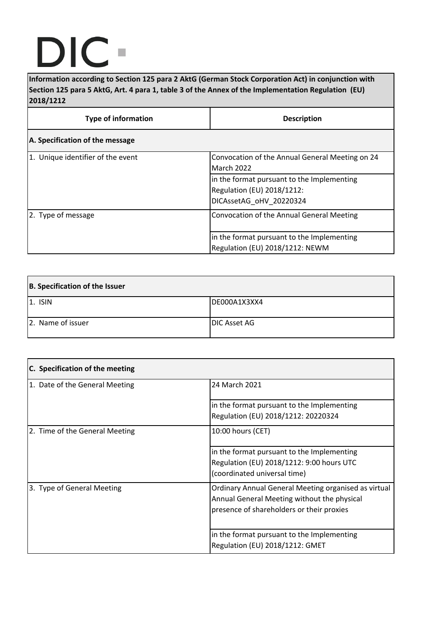## DIC  $\blacksquare$

**Information according to Section 125 para 2 AktG (German Stock Corporation Act) in conjunction with Section 125 para 5 AktG, Art. 4 para 1, table 3 of the Annex of the Implementation Regulation (EU) 2018/1212**

| <b>Type of information</b>        | <b>Description</b>                                                                                  |
|-----------------------------------|-----------------------------------------------------------------------------------------------------|
| A. Specification of the message   |                                                                                                     |
| 1. Unique identifier of the event | Convocation of the Annual General Meeting on 24<br><b>March 2022</b>                                |
|                                   | in the format pursuant to the Implementing<br>Regulation (EU) 2018/1212:<br>DICAssetAG oHV 20220324 |
| 2. Type of message                | Convocation of the Annual General Meeting                                                           |
|                                   | in the format pursuant to the Implementing<br>Regulation (EU) 2018/1212: NEWM                       |

| B. Specification of the Issuer |                     |
|--------------------------------|---------------------|
| $ 1.$ ISIN                     | DE000A1X3XX4        |
| 2. Name of issuer              | <b>DIC Asset AG</b> |

| C. Specification of the meeting |                                                                                                                                                  |
|---------------------------------|--------------------------------------------------------------------------------------------------------------------------------------------------|
| 1. Date of the General Meeting  | 24 March 2021                                                                                                                                    |
|                                 | in the format pursuant to the Implementing<br>Regulation (EU) 2018/1212: 20220324                                                                |
| 2. Time of the General Meeting  | 10:00 hours (CET)                                                                                                                                |
|                                 | in the format pursuant to the Implementing<br>Regulation (EU) 2018/1212: 9:00 hours UTC<br>(coordinated universal time)                          |
| 3. Type of General Meeting      | Ordinary Annual General Meeting organised as virtual<br>Annual General Meeting without the physical<br>presence of shareholders or their proxies |
|                                 | in the format pursuant to the Implementing<br>Regulation (EU) 2018/1212: GMET                                                                    |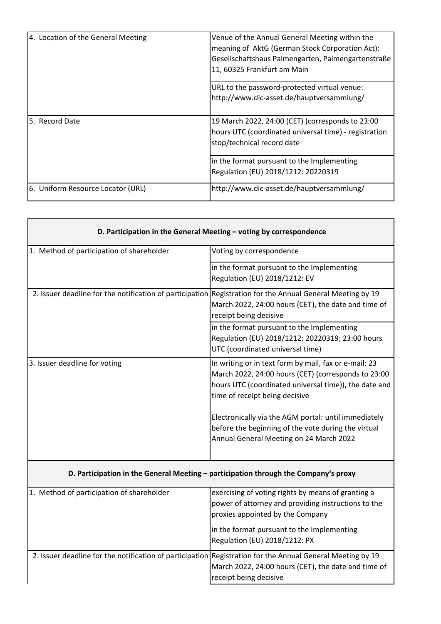| 4. Location of the General Meeting | Venue of the Annual General Meeting within the<br>meaning of AktG (German Stock Corporation Act):<br>Gesellschaftshaus Palmengarten, Palmengartenstraße<br>11, 60325 Frankfurt am Main |
|------------------------------------|----------------------------------------------------------------------------------------------------------------------------------------------------------------------------------------|
|                                    | URL to the password-protected virtual venue:                                                                                                                                           |
|                                    | http://www.dic-asset.de/hauptversammlung/                                                                                                                                              |
| 5. Record Date                     | 19 March 2022, 24:00 (CET) (corresponds to 23:00                                                                                                                                       |
|                                    | hours UTC (coordinated universal time) - registration                                                                                                                                  |
|                                    | stop/technical record date                                                                                                                                                             |
|                                    | in the format pursuant to the Implementing                                                                                                                                             |
|                                    | Regulation (EU) 2018/1212: 20220319                                                                                                                                                    |
| 6. Uniform Resource Locator (URL)  | http://www.dic-asset.de/hauptversammlung/                                                                                                                                              |

| D. Participation in the General Meeting - voting by correspondence                                         |                                                                                                                                                                                                                                                                                                                                                                   |  |
|------------------------------------------------------------------------------------------------------------|-------------------------------------------------------------------------------------------------------------------------------------------------------------------------------------------------------------------------------------------------------------------------------------------------------------------------------------------------------------------|--|
| 1. Method of participation of shareholder                                                                  | Voting by correspondence                                                                                                                                                                                                                                                                                                                                          |  |
|                                                                                                            | in the format pursuant to the Implementing<br>Regulation (EU) 2018/1212: EV                                                                                                                                                                                                                                                                                       |  |
| 2. Issuer deadline for the notification of participation Registration for the Annual General Meeting by 19 | March 2022, 24:00 hours (CET), the date and time of<br>receipt being decisive                                                                                                                                                                                                                                                                                     |  |
|                                                                                                            | in the format pursuant to the Implementing<br>Regulation (EU) 2018/1212: 20220319; 23:00 hours<br>UTC (coordinated universal time)                                                                                                                                                                                                                                |  |
| 3. Issuer deadline for voting                                                                              | In writing or in text form by mail, fax or e-mail: 23<br>March 2022, 24:00 hours (CET) (corresponds to 23:00<br>hours UTC (coordinated universal time)), the date and<br>time of receipt being decisive<br>Electronically via the AGM portal: until immediately<br>before the beginning of the vote during the virtual<br>Annual General Meeting on 24 March 2022 |  |
| D. Participation in the General Meeting - participation through the Company's proxy                        |                                                                                                                                                                                                                                                                                                                                                                   |  |
| 1. Method of participation of shareholder                                                                  | exercising of voting rights by means of granting a<br>power of attorney and providing instructions to the<br>proxies appointed by the Company                                                                                                                                                                                                                     |  |
|                                                                                                            | in the format pursuant to the Implementing<br>Regulation (EU) 2018/1212: PX                                                                                                                                                                                                                                                                                       |  |
| 2. Issuer deadline for the notification of participation Registration for the Annual General Meeting by 19 | March 2022, 24:00 hours (CET), the date and time of<br>receipt being decisive                                                                                                                                                                                                                                                                                     |  |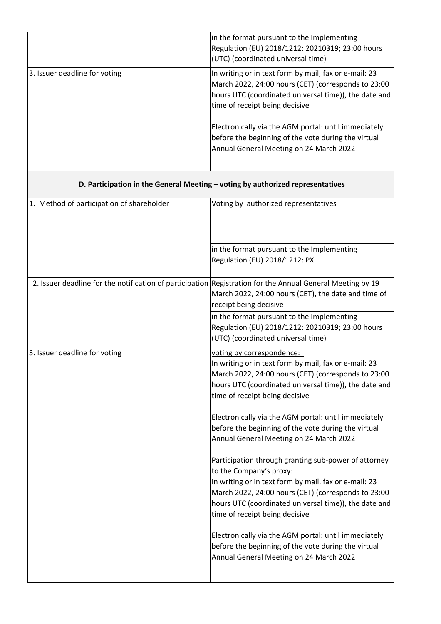|                               | in the format pursuant to the Implementing<br>Regulation (EU) 2018/1212: 20210319; 23:00 hours<br>(UTC) (coordinated universal time)                                                                                                                                                                                   |
|-------------------------------|------------------------------------------------------------------------------------------------------------------------------------------------------------------------------------------------------------------------------------------------------------------------------------------------------------------------|
| 3. Issuer deadline for voting | In writing or in text form by mail, fax or e-mail: 23<br>March 2022, 24:00 hours (CET) (corresponds to 23:00<br>hours UTC (coordinated universal time)), the date and<br>time of receipt being decisive<br>Electronically via the AGM portal: until immediately<br>before the beginning of the vote during the virtual |
|                               | Annual General Meeting on 24 March 2022                                                                                                                                                                                                                                                                                |

## **D. Participation in the General Meeting – voting by authorized representatives**

| 1. Method of participation of shareholder                                                                  | Voting by authorized representatives                                                                                                                                                                                                                                                                                                                                                           |
|------------------------------------------------------------------------------------------------------------|------------------------------------------------------------------------------------------------------------------------------------------------------------------------------------------------------------------------------------------------------------------------------------------------------------------------------------------------------------------------------------------------|
|                                                                                                            | in the format pursuant to the Implementing<br>Regulation (EU) 2018/1212: PX                                                                                                                                                                                                                                                                                                                    |
| 2. Issuer deadline for the notification of participation Registration for the Annual General Meeting by 19 | March 2022, 24:00 hours (CET), the date and time of<br>receipt being decisive                                                                                                                                                                                                                                                                                                                  |
|                                                                                                            | in the format pursuant to the Implementing<br>Regulation (EU) 2018/1212: 20210319; 23:00 hours<br>(UTC) (coordinated universal time)                                                                                                                                                                                                                                                           |
| 3. Issuer deadline for voting                                                                              | voting by correspondence:<br>In writing or in text form by mail, fax or e-mail: 23<br>March 2022, 24:00 hours (CET) (corresponds to 23:00<br>hours UTC (coordinated universal time)), the date and<br>time of receipt being decisive<br>Electronically via the AGM portal: until immediately<br>before the beginning of the vote during the virtual<br>Annual General Meeting on 24 March 2022 |
|                                                                                                            | Participation through granting sub-power of attorney<br>to the Company's proxy:<br>In writing or in text form by mail, fax or e-mail: 23<br>March 2022, 24:00 hours (CET) (corresponds to 23:00<br>hours UTC (coordinated universal time)), the date and<br>time of receipt being decisive                                                                                                     |
|                                                                                                            | Electronically via the AGM portal: until immediately<br>before the beginning of the vote during the virtual<br>Annual General Meeting on 24 March 2022                                                                                                                                                                                                                                         |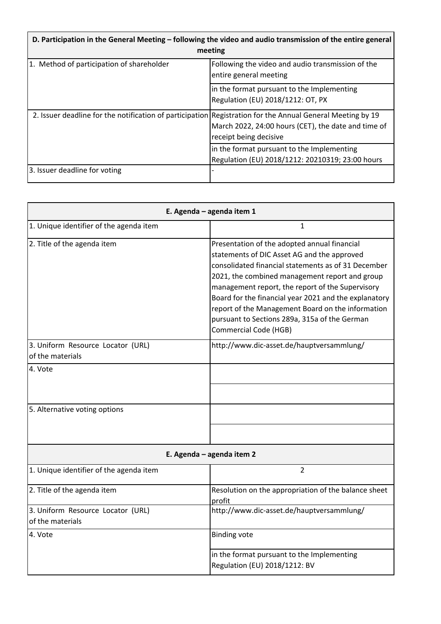| D. Participation in the General Meeting – following the video and audio transmission of the entire general<br>meeting |                                                                                                |
|-----------------------------------------------------------------------------------------------------------------------|------------------------------------------------------------------------------------------------|
| 1. Method of participation of shareholder                                                                             | Following the video and audio transmission of the<br>entire general meeting                    |
|                                                                                                                       | in the format pursuant to the Implementing<br>Regulation (EU) 2018/1212: OT, PX                |
| 2. Issuer deadline for the notification of participation Registration for the Annual General Meeting by 19            | March 2022, 24:00 hours (CET), the date and time of<br>receipt being decisive                  |
|                                                                                                                       | in the format pursuant to the Implementing<br>Regulation (EU) 2018/1212: 20210319; 23:00 hours |
| 3. Issuer deadline for voting                                                                                         |                                                                                                |

| E. Agenda - agenda item 1                             |                                                                                                                                                                                                                                                                                                                                                                                                                                                         |
|-------------------------------------------------------|---------------------------------------------------------------------------------------------------------------------------------------------------------------------------------------------------------------------------------------------------------------------------------------------------------------------------------------------------------------------------------------------------------------------------------------------------------|
| 1. Unique identifier of the agenda item               | 1                                                                                                                                                                                                                                                                                                                                                                                                                                                       |
| 2. Title of the agenda item                           | Presentation of the adopted annual financial<br>statements of DIC Asset AG and the approved<br>consolidated financial statements as of 31 December<br>2021, the combined management report and group<br>management report, the report of the Supervisory<br>Board for the financial year 2021 and the explanatory<br>report of the Management Board on the information<br>pursuant to Sections 289a, 315a of the German<br><b>Commercial Code (HGB)</b> |
| 3. Uniform Resource Locator (URL)<br>of the materials | http://www.dic-asset.de/hauptversammlung/                                                                                                                                                                                                                                                                                                                                                                                                               |
| 4. Vote                                               |                                                                                                                                                                                                                                                                                                                                                                                                                                                         |
| 5. Alternative voting options                         |                                                                                                                                                                                                                                                                                                                                                                                                                                                         |
|                                                       |                                                                                                                                                                                                                                                                                                                                                                                                                                                         |
| E. Agenda - agenda item 2                             |                                                                                                                                                                                                                                                                                                                                                                                                                                                         |
| 1. Unique identifier of the agenda item               | 2                                                                                                                                                                                                                                                                                                                                                                                                                                                       |
| 2. Title of the agenda item                           | Resolution on the appropriation of the balance sheet<br>profit                                                                                                                                                                                                                                                                                                                                                                                          |
| 3. Uniform Resource Locator (URL)<br>of the materials | http://www.dic-asset.de/hauptversammlung/                                                                                                                                                                                                                                                                                                                                                                                                               |
| 4. Vote                                               | <b>Binding vote</b>                                                                                                                                                                                                                                                                                                                                                                                                                                     |
|                                                       | in the format pursuant to the Implementing<br>Regulation (EU) 2018/1212: BV                                                                                                                                                                                                                                                                                                                                                                             |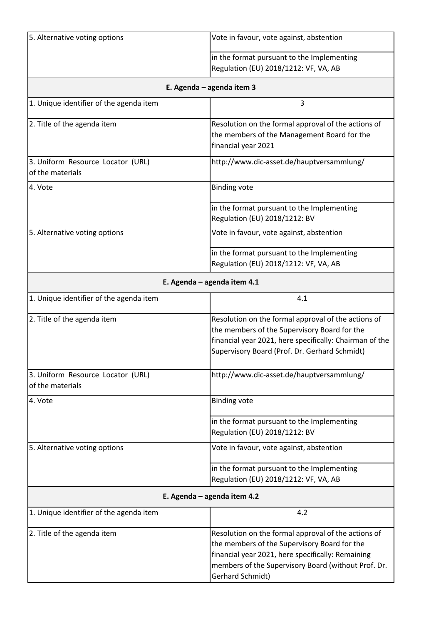| 5. Alternative voting options                         | Vote in favour, vote against, abstention                                                                                                                                                                                            |  |
|-------------------------------------------------------|-------------------------------------------------------------------------------------------------------------------------------------------------------------------------------------------------------------------------------------|--|
|                                                       | in the format pursuant to the Implementing<br>Regulation (EU) 2018/1212: VF, VA, AB                                                                                                                                                 |  |
|                                                       | E. Agenda - agenda item 3                                                                                                                                                                                                           |  |
| 1. Unique identifier of the agenda item               | 3                                                                                                                                                                                                                                   |  |
| 2. Title of the agenda item                           | Resolution on the formal approval of the actions of<br>the members of the Management Board for the<br>financial year 2021                                                                                                           |  |
| 3. Uniform Resource Locator (URL)<br>of the materials | http://www.dic-asset.de/hauptversammlung/                                                                                                                                                                                           |  |
| 4. Vote                                               | <b>Binding vote</b>                                                                                                                                                                                                                 |  |
|                                                       | in the format pursuant to the Implementing<br>Regulation (EU) 2018/1212: BV                                                                                                                                                         |  |
| 5. Alternative voting options                         | Vote in favour, vote against, abstention                                                                                                                                                                                            |  |
|                                                       | in the format pursuant to the Implementing<br>Regulation (EU) 2018/1212: VF, VA, AB                                                                                                                                                 |  |
| E. Agenda - agenda item 4.1                           |                                                                                                                                                                                                                                     |  |
| 1. Unique identifier of the agenda item               | 4.1                                                                                                                                                                                                                                 |  |
| 2. Title of the agenda item                           | Resolution on the formal approval of the actions of<br>the members of the Supervisory Board for the<br>financial year 2021, here specifically: Chairman of the<br>Supervisory Board (Prof. Dr. Gerhard Schmidt)                     |  |
| 3. Uniform Resource Locator (URL)<br>of the materials | http://www.dic-asset.de/hauptversammlung/                                                                                                                                                                                           |  |
| 4. Vote                                               | <b>Binding vote</b>                                                                                                                                                                                                                 |  |
|                                                       | in the format pursuant to the Implementing<br>Regulation (EU) 2018/1212: BV                                                                                                                                                         |  |
| 5. Alternative voting options                         | Vote in favour, vote against, abstention                                                                                                                                                                                            |  |
|                                                       | in the format pursuant to the Implementing<br>Regulation (EU) 2018/1212: VF, VA, AB                                                                                                                                                 |  |
|                                                       | E. Agenda - agenda item 4.2                                                                                                                                                                                                         |  |
| 1. Unique identifier of the agenda item               | 4.2                                                                                                                                                                                                                                 |  |
| 2. Title of the agenda item                           | Resolution on the formal approval of the actions of<br>the members of the Supervisory Board for the<br>financial year 2021, here specifically: Remaining<br>members of the Supervisory Board (without Prof. Dr.<br>Gerhard Schmidt) |  |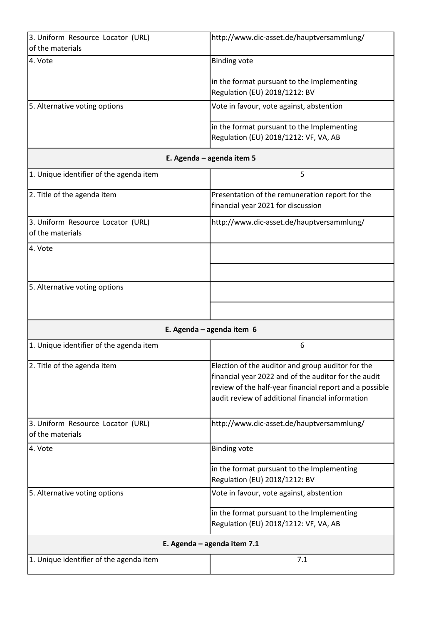| 3. Uniform Resource Locator (URL)       | http://www.dic-asset.de/hauptversammlung/               |
|-----------------------------------------|---------------------------------------------------------|
| of the materials                        |                                                         |
| 4. Vote                                 | <b>Binding vote</b>                                     |
|                                         | in the format pursuant to the Implementing              |
|                                         | Regulation (EU) 2018/1212: BV                           |
| 5. Alternative voting options           | Vote in favour, vote against, abstention                |
|                                         |                                                         |
|                                         | in the format pursuant to the Implementing              |
|                                         | Regulation (EU) 2018/1212: VF, VA, AB                   |
|                                         | E. Agenda - agenda item 5                               |
| 1. Unique identifier of the agenda item | 5                                                       |
| 2. Title of the agenda item             | Presentation of the remuneration report for the         |
|                                         | financial year 2021 for discussion                      |
| 3. Uniform Resource Locator (URL)       | http://www.dic-asset.de/hauptversammlung/               |
| of the materials                        |                                                         |
| 4. Vote                                 |                                                         |
|                                         |                                                         |
|                                         |                                                         |
| 5. Alternative voting options           |                                                         |
|                                         |                                                         |
|                                         |                                                         |
|                                         | E. Agenda - agenda item 6                               |
| 1. Unique identifier of the agenda item | 6                                                       |
| 2. Title of the agenda item             | Election of the auditor and group auditor for the       |
|                                         | financial year 2022 and of the auditor for the audit    |
|                                         | review of the half-year financial report and a possible |
|                                         | audit review of additional financial information        |
| 3. Uniform Resource Locator (URL)       | http://www.dic-asset.de/hauptversammlung/               |
| of the materials                        |                                                         |
| 4. Vote                                 | <b>Binding vote</b>                                     |
|                                         |                                                         |
|                                         | in the format pursuant to the Implementing              |
|                                         | Regulation (EU) 2018/1212: BV                           |
| 5. Alternative voting options           | Vote in favour, vote against, abstention                |
|                                         | in the format pursuant to the Implementing              |
|                                         | Regulation (EU) 2018/1212: VF, VA, AB                   |
|                                         | E. Agenda - agenda item 7.1                             |
| 1. Unique identifier of the agenda item | 7.1                                                     |
|                                         |                                                         |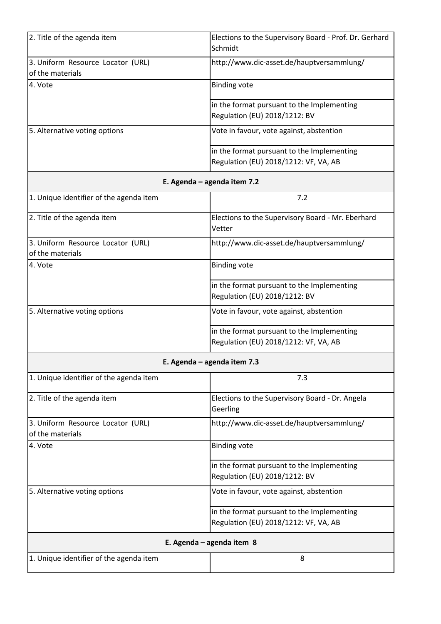| 2. Title of the agenda item             | Elections to the Supervisory Board - Prof. Dr. Gerhard |  |
|-----------------------------------------|--------------------------------------------------------|--|
|                                         | Schmidt                                                |  |
| 3. Uniform Resource Locator (URL)       | http://www.dic-asset.de/hauptversammlung/              |  |
| of the materials                        |                                                        |  |
| 4. Vote                                 | <b>Binding vote</b>                                    |  |
|                                         | in the format pursuant to the Implementing             |  |
|                                         | Regulation (EU) 2018/1212: BV                          |  |
| 5. Alternative voting options           | Vote in favour, vote against, abstention               |  |
|                                         | in the format pursuant to the Implementing             |  |
|                                         | Regulation (EU) 2018/1212: VF, VA, AB                  |  |
| E. Agenda - agenda item 7.2             |                                                        |  |
| 1. Unique identifier of the agenda item | 7.2                                                    |  |
| 2. Title of the agenda item             | Elections to the Supervisory Board - Mr. Eberhard      |  |
|                                         | Vetter                                                 |  |
| 3. Uniform Resource Locator (URL)       | http://www.dic-asset.de/hauptversammlung/              |  |
| of the materials                        |                                                        |  |
| 4. Vote                                 | <b>Binding vote</b>                                    |  |
|                                         | in the format pursuant to the Implementing             |  |
|                                         | Regulation (EU) 2018/1212: BV                          |  |
| 5. Alternative voting options           | Vote in favour, vote against, abstention               |  |
|                                         | in the format pursuant to the Implementing             |  |
|                                         | Regulation (EU) 2018/1212: VF, VA, AB                  |  |
| E. Agenda - agenda item 7.3             |                                                        |  |
| 1. Unique identifier of the agenda item | 7.3                                                    |  |

| 2. Title of the agenda item                           | Elections to the Supervisory Board - Dr. Angela<br>Geerling                         |
|-------------------------------------------------------|-------------------------------------------------------------------------------------|
| 3. Uniform Resource Locator (URL)<br>of the materials | http://www.dic-asset.de/hauptversammlung/                                           |
| 4. Vote                                               | <b>Binding vote</b>                                                                 |
|                                                       | in the format pursuant to the Implementing<br>Regulation (EU) 2018/1212: BV         |
| 5. Alternative voting options                         | Vote in favour, vote against, abstention                                            |
|                                                       | in the format pursuant to the Implementing<br>Regulation (EU) 2018/1212: VF, VA, AB |
| E. Agenda – agenda item 8                             |                                                                                     |
| 1. Unique identifier of the agenda item               | 8                                                                                   |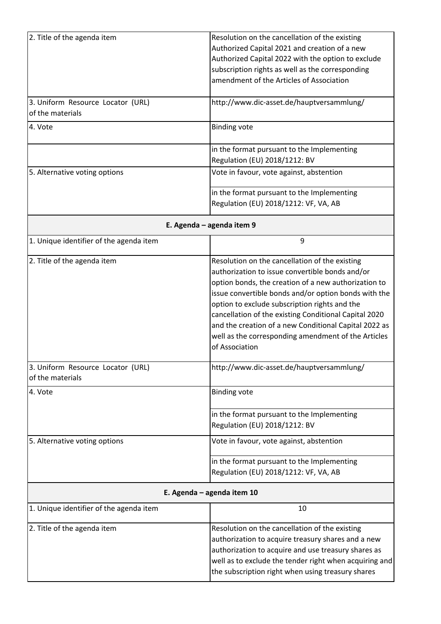| 2. Title of the agenda item                           | Resolution on the cancellation of the existing<br>Authorized Capital 2021 and creation of a new<br>Authorized Capital 2022 with the option to exclude<br>subscription rights as well as the corresponding<br>amendment of the Articles of Association                                                                                                                                                                                                         |  |
|-------------------------------------------------------|---------------------------------------------------------------------------------------------------------------------------------------------------------------------------------------------------------------------------------------------------------------------------------------------------------------------------------------------------------------------------------------------------------------------------------------------------------------|--|
| 3. Uniform Resource Locator (URL)<br>of the materials | http://www.dic-asset.de/hauptversammlung/                                                                                                                                                                                                                                                                                                                                                                                                                     |  |
| 4. Vote                                               | <b>Binding vote</b>                                                                                                                                                                                                                                                                                                                                                                                                                                           |  |
|                                                       | in the format pursuant to the Implementing<br>Regulation (EU) 2018/1212: BV                                                                                                                                                                                                                                                                                                                                                                                   |  |
| 5. Alternative voting options                         | Vote in favour, vote against, abstention                                                                                                                                                                                                                                                                                                                                                                                                                      |  |
|                                                       | in the format pursuant to the Implementing<br>Regulation (EU) 2018/1212: VF, VA, AB                                                                                                                                                                                                                                                                                                                                                                           |  |
|                                                       | E. Agenda - agenda item 9                                                                                                                                                                                                                                                                                                                                                                                                                                     |  |
| 1. Unique identifier of the agenda item               | 9                                                                                                                                                                                                                                                                                                                                                                                                                                                             |  |
| 2. Title of the agenda item                           | Resolution on the cancellation of the existing<br>authorization to issue convertible bonds and/or<br>option bonds, the creation of a new authorization to<br>issue convertible bonds and/or option bonds with the<br>option to exclude subscription rights and the<br>cancellation of the existing Conditional Capital 2020<br>and the creation of a new Conditional Capital 2022 as<br>well as the corresponding amendment of the Articles<br>of Association |  |
| 3. Uniform Resource Locator (URL)<br>of the materials | http://www.dic-asset.de/hauptversammlung/                                                                                                                                                                                                                                                                                                                                                                                                                     |  |
| 4. Vote                                               | <b>Binding vote</b>                                                                                                                                                                                                                                                                                                                                                                                                                                           |  |
|                                                       | in the format pursuant to the Implementing<br>Regulation (EU) 2018/1212: BV                                                                                                                                                                                                                                                                                                                                                                                   |  |
| 5. Alternative voting options                         | Vote in favour, vote against, abstention                                                                                                                                                                                                                                                                                                                                                                                                                      |  |
|                                                       | in the format pursuant to the Implementing<br>Regulation (EU) 2018/1212: VF, VA, AB                                                                                                                                                                                                                                                                                                                                                                           |  |
| E. Agenda - agenda item 10                            |                                                                                                                                                                                                                                                                                                                                                                                                                                                               |  |

| 1. Unique identifier of the agenda item | 10                                                                                                                                                                                                                                                                         |  |
|-----------------------------------------|----------------------------------------------------------------------------------------------------------------------------------------------------------------------------------------------------------------------------------------------------------------------------|--|
| 2. Title of the agenda item             | Resolution on the cancellation of the existing<br>authorization to acquire treasury shares and a new<br>authorization to acquire and use treasury shares as<br>well as to exclude the tender right when acquiring and<br>the subscription right when using treasury shares |  |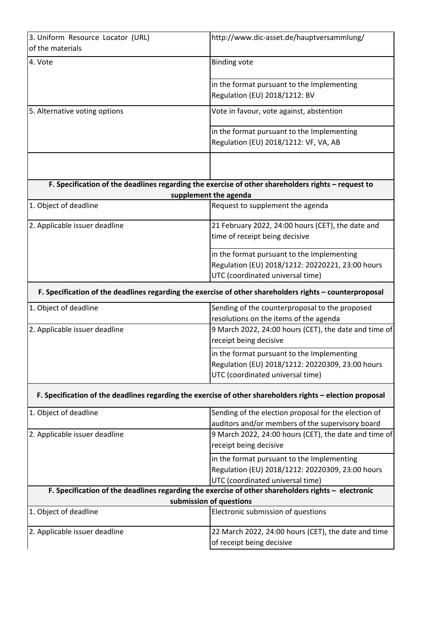| 3. Uniform Resource Locator (URL) | http://www.dic-asset.de/hauptversammlung/                                                                 |
|-----------------------------------|-----------------------------------------------------------------------------------------------------------|
| of the materials                  |                                                                                                           |
| 4. Vote                           | <b>Binding vote</b>                                                                                       |
|                                   |                                                                                                           |
|                                   | in the format pursuant to the Implementing                                                                |
|                                   | Regulation (EU) 2018/1212: BV                                                                             |
|                                   |                                                                                                           |
| 5. Alternative voting options     | Vote in favour, vote against, abstention                                                                  |
|                                   | in the format pursuant to the Implementing                                                                |
|                                   | Regulation (EU) 2018/1212: VF, VA, AB                                                                     |
|                                   |                                                                                                           |
|                                   |                                                                                                           |
|                                   |                                                                                                           |
|                                   | F. Specification of the deadlines regarding the exercise of other shareholders rights - request to        |
| 1. Object of deadline             | supplement the agenda<br>Request to supplement the agenda                                                 |
|                                   |                                                                                                           |
| 2. Applicable issuer deadline     | 21 February 2022, 24:00 hours (CET), the date and                                                         |
|                                   | time of receipt being decisive                                                                            |
|                                   |                                                                                                           |
|                                   | in the format pursuant to the Implementing                                                                |
|                                   | Regulation (EU) 2018/1212: 20220221, 23:00 hours                                                          |
|                                   | UTC (coordinated universal time)                                                                          |
|                                   | F. Specification of the deadlines regarding the exercise of other shareholders rights - counterproposal   |
| 1. Object of deadline             | Sending of the counterproposal to the proposed                                                            |
|                                   | resolutions on the items of the agenda                                                                    |
| 2. Applicable issuer deadline     | 9 March 2022, 24:00 hours (CET), the date and time of                                                     |
|                                   | receipt being decisive                                                                                    |
|                                   | in the format pursuant to the Implementing                                                                |
|                                   | Regulation (EU) 2018/1212: 20220309, 23:00 hours                                                          |
|                                   | UTC (coordinated universal time)                                                                          |
|                                   |                                                                                                           |
|                                   | F. Specification of the deadlines regarding the exercise of other shareholders rights - election proposal |
| 1. Object of deadline             | Sending of the election proposal for the election of                                                      |
|                                   | auditors and/or members of the supervisory board                                                          |
| 2. Applicable issuer deadline     | 9 March 2022, 24:00 hours (CET), the date and time of                                                     |
|                                   | receipt being decisive                                                                                    |
|                                   | in the format pursuant to the Implementing                                                                |
|                                   | Regulation (EU) 2018/1212: 20220309, 23:00 hours                                                          |
|                                   | UTC (coordinated universal time)                                                                          |
|                                   | F. Specification of the deadlines regarding the exercise of other shareholders rights - electronic        |
|                                   | submission of questions                                                                                   |
| 1. Object of deadline             | Electronic submission of questions                                                                        |
| 2. Applicable issuer deadline     | 22 March 2022, 24:00 hours (CET), the date and time                                                       |
|                                   | of receipt being decisive                                                                                 |
|                                   |                                                                                                           |